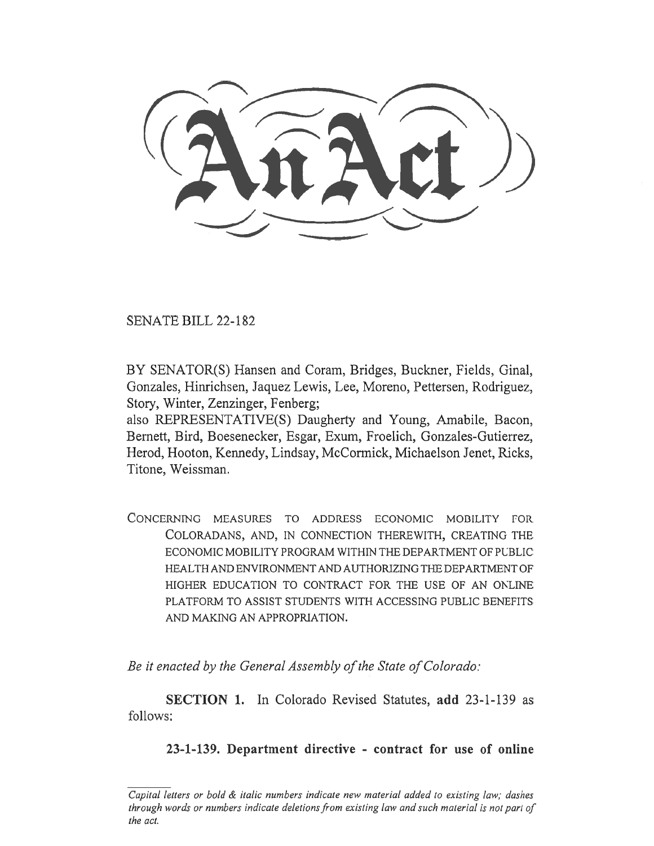SENATE BILL 22-182

BY SENATOR(S) Hansen and Coram, Bridges, Buckner, Fields, Ginal, Gonzales, Hinrichsen, Jaquez Lewis, Lee, Moreno, Pettersen, Rodriguez, Story, Winter, Zenzinger, Fenberg;

also REPRESENTATIVE(S) Daugherty and Young, Amabile, Bacon, Bernett, Bird, Boesenecker, Esgar, Exum, Froelich, Gonzales-Gutierrez, Herod, Hooton, Kennedy, Lindsay, McCormick, Michaelson Jenet, Ricks, Titone, Weissman.

CONCERNING MEASURES TO ADDRESS ECONOMIC MOBILITY FOR COLORADANS, AND, IN CONNECTION THEREWITH, CREATING THE ECONOMIC MOBILITY PROGRAM WITHIN THE DEPARTMENT OF PUBLIC HEALTH AND ENVIRONMENT AND AUTHORIZING THE DEPARTMENT OF HIGHER EDUCATION TO CONTRACT FOR THE USE OF AN ONLINE PLATFORM TO ASSIST STUDENTS WITH ACCESSING PUBLIC BENEFITS AND MAKING AN APPROPRIATION.

Be it enacted by the General Assembly of the State of Colorado:

SECTION 1. In Colorado Revised Statutes, add 23-1-139 as follows:

23-1-139. Department directive - contract for use of online

Capital letters or bold & italic numbers indicate new material added to existing law; dashes through words or numbers indicate deletions from existing law and such material is not part of the act.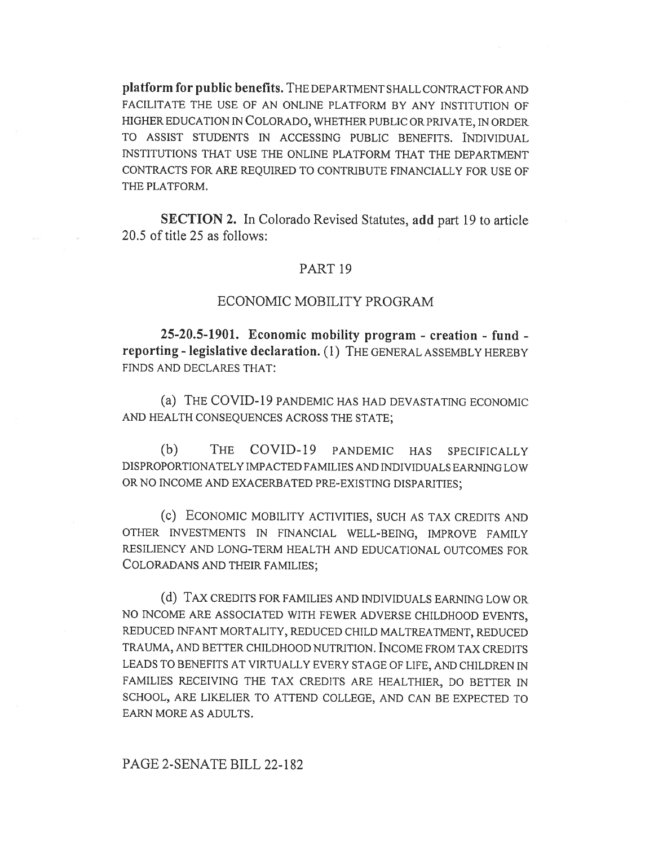platform for public benefits. THE DEPARTMENT SHALL CONTRACT FOR AND FACILITATE THE USE OF AN ONLINE PLATFORM BY ANY INSTITUTION OF HIGHER EDUCATION IN COLORADO, WHETHER PUBLIC OR PRIVATE, IN ORDER TO ASSIST STUDENTS IN ACCESSING PUBLIC BENEFITS. INDIVIDUAL INSTITUTIONS THAT USE THE ONLINE PLATFORM THAT THE DEPARTMENT CONTRACTS FOR ARE REQUIRED TO CONTRIBUTE FINANCIALLY FOR USE OF THE PLATFORM.

SECTION 2. In Colorado Revised Statutes, add part 19 to article 20.5 of title 25 as follows:

#### PART 19

## ECONOMIC MOBILITY PROGRAM

25-20.5-1901. Economic mobility program - creation - fund reporting - legislative declaration. (1) THE GENERAL ASSEMBLY HEREBY FINDS AND DECLARES THAT:

(a) THE COVID-19 PANDEMIC HAS HAD DEVASTATING ECONOMIC AND HEALTH CONSEQUENCES ACROSS THE STATE;

(b) THE COVID-19 PANDEMIC HAS SPECIFICALLY DISPROPORTIONATELY IMPACTED FAMILIES AND INDIVIDUALS EARNING LOW OR NO INCOME AND EXACERBATED PRE-EXISTING DISPARITIES;

(c) ECONOMIC MOBILITY ACTIVITIES, SUCH AS TAX CREDITS AND OTHER INVESTMENTS IN FINANCIAL WELL-BEING, IMPROVE FAMILY RESILIENCY AND LONG-TERM HEALTH AND EDUCATIONAL OUTCOMES FOR COLORADANS AND THEIR FAMILIES;

(d) TAX CREDITS FOR FAMILIES AND INDIVIDUALS EARNING LOW OR NO INCOME ARE ASSOCIATED WITH FEWER ADVERSE CHILDHOOD EVENTS, REDUCED INFANT MORTALITY, REDUCED CHILD MALTREATMENT, REDUCED TRAUMA, AND BETTER CHILDHOOD NUTRITION. INCOME FROM TAX CREDITS LEADS TO BENEFITS AT VIRTUALLY EVERY STAGE OF LIFE, AND CHILDREN IN FAMILIES RECEIVING THE TAX CREDITS ARE HEALTHIER, DO BETTER IN SCHOOL, ARE LIKELIER TO ATTEND COLLEGE, AND CAN BE EXPECTED TO EARN MORE AS ADULTS.

### PAGE 2-SENATE BILL 22-182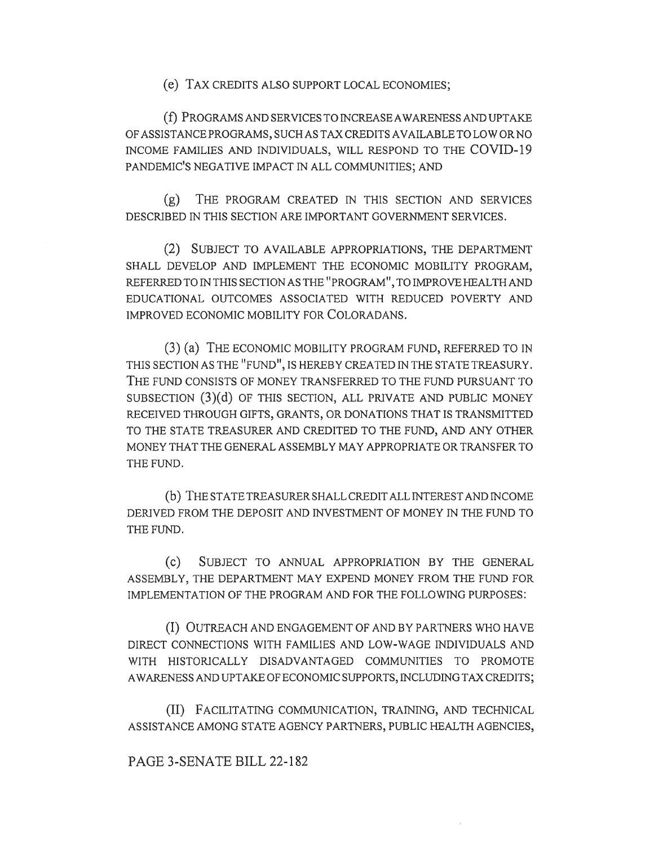(e) TAX CREDITS ALSO SUPPORT LOCAL ECONOMIES;

(f) PROGRAMS AND SERVICES TO INCREASE AWARENESS AND UPTAKE OF ASSISTANCE PROGRAMS, SUCH AS TAX CREDITS AVAILABLE TO LOW OR NO INCOME FAMILIES AND INDIVIDUALS, WILL RESPOND TO THE COVID-19 PANDEMIC'S NEGATIVE IMPACT IN ALL COMMUNITIES; AND

(g) THE PROGRAM CREATED IN THIS SECTION AND SERVICES DESCRIBED IN THIS SECTION ARE IMPORTANT GOVERNMENT SERVICES.

(2) SUBJECT TO AVAILABLE APPROPRIATIONS, THE DEPARTMENT SHALL DEVELOP AND IMPLEMENT THE ECONOMIC MOBILITY PROGRAM, REFERRED TO IN THIS SECTION AS THE "PROGRAM", TO IMPROVE HEALTH AND EDUCATIONAL OUTCOMES ASSOCIATED WITH REDUCED POVERTY AND IMPROVED ECONOMIC MOBILITY FOR COLORADANS.

(3) (a) THE ECONOMIC MOBILITY PROGRAM FUND, REFERRED TO IN THIS SECTION AS THE "FUND", IS HEREBY CREATED IN THE STATE TREASURY. THE FUND CONSISTS OF MONEY TRANSFERRED TO THE FUND PURSUANT TO SUBSECTION (3)(d) OF THIS SECTION, ALL PRIVATE AND PUBLIC MONEY RECEIVED THROUGH GIFTS, GRANTS, OR DONATIONS THAT IS TRANSMITTED TO THE STATE TREASURER AND CREDITED TO THE FUND, AND ANY OTHER MONEY THAT THE GENERAL ASSEMBLY MAY APPROPRIATE OR TRANSFER TO THE FUND.

(b) THE STATE TREASURER SHALL CREDIT ALL INTEREST AND INCOME DERIVED FROM THE DEPOSIT AND INVESTMENT OF MONEY IN THE FUND TO THE FUND.

(c) SUBJECT TO ANNUAL APPROPRIATION BY THE GENERAL ASSEMBLY, THE DEPARTMENT MAY EXPEND MONEY FROM THE FUND FOR IMPLEMENTATION OF THE PROGRAM AND FOR THE FOLLOWING PURPOSES:

(I) OUTREACH AND ENGAGEMENT OF AND BY PARTNERS WHO HAVE DIRECT CONNECTIONS WITH FAMILIES AND LOW-WAGE INDIVIDUALS AND WITH HISTORICALLY DISADVANTAGED COMMUNITIES TO PROMOTE AWARENESS AND UPTAKE OF ECONOMIC SUPPORTS, INCLUDING TAX CREDITS;

(II) FACILITATING COMMUNICATION, TRAINING, AND TECHNICAL ASSISTANCE AMONG STATE AGENCY PARTNERS, PUBLIC HEALTH AGENCIES,

## PAGE 3-SENATE BILL 22-182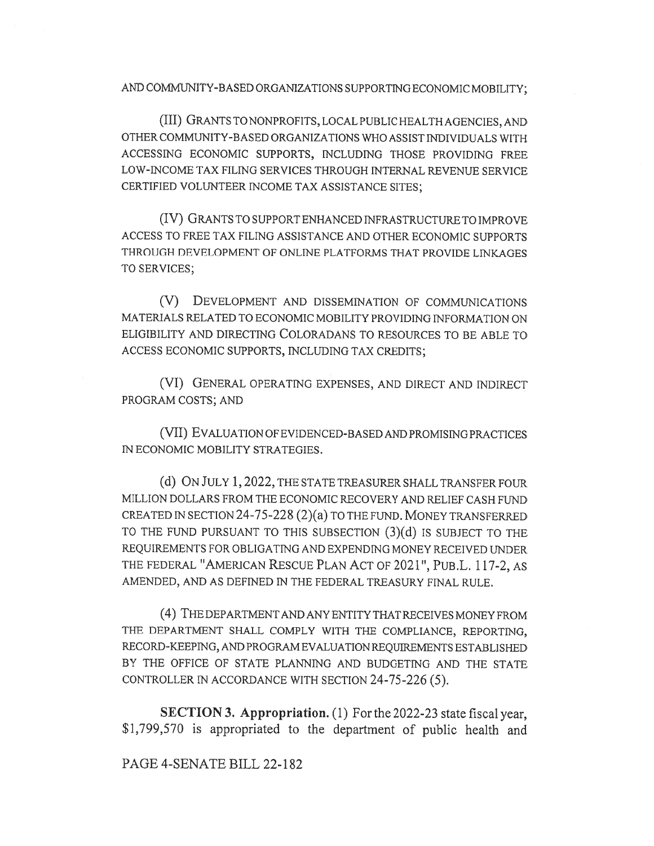AND COMMUNITY-BASED ORGANIZATIONS SUPPORTING ECONOMIC MOBILITY;

(III) GRANTS TO NONPROFITS, LOCAL PUBLIC HEALTH AGENCIES, AND OTHER COMMUNITY-BASED ORGANIZATIONS WHO ASSIST INDIVIDUALS WITH ACCESSING ECONOMIC SUPPORTS, INCLUDING THOSE PROVIDING FREE LOW-INCOME TAX FILING SERVICES THROUGH INTERNAL REVENUE SERVICE CERTIFIED VOLUNTEER INCOME TAX ASSISTANCE SITES;

(IV) GRANTS TO SUPPORT ENHANCED INFRASTRUCTURE TO IMPROVE ACCESS TO FREE TAX FILING ASSISTANCE AND OTHER ECONOMIC SUPPORTS THROUGH DEVELOPMENT OF ONLINE PLATFORMS THAT PROVIDE LINKAGES TO SERVICES;

(V) DEVELOPMENT AND DISSEMINATION OF COMMUNICATIONS MATERIALS RELATED TO ECONOMIC MOBILITY PROVIDING INFORMATION ON ELIGIBILITY AND DIRECTING COLORADANS TO RESOURCES TO BE ABLE TO ACCESS ECONOMIC SUPPORTS, INCLUDING TAX CREDITS;

(VI) GENERAL OPERATING EXPENSES, AND DIRECT AND INDIRECT PROGRAM COSTS; AND

(VII) EVALUATION OF EVIDENCED-BASED AND PROMISING PRACTICES IN ECONOMIC MOBILITY STRATEGIES.

(d) ON JULY 1, 2022, THE STATE TREASURER SHALL TRANSFER FOUR MILLION DOLLARS FROM THE ECONOMIC RECOVERY AND RELIEF CASH FUND CREATED IN SECTION 24-75-228 (2)(a) TO THE FUND. MONEY TRANSFERRED TO THE FUND PURSUANT TO THIS SUBSECTION (3)(d) IS SUBJECT TO THE REQUIREMENTS FOR OBLIGATING AND EXPENDING MONEY RECEIVED UNDER THE FEDERAL "AMERICAN RESCUE PLAN ACT OF 2021", PUB.L. 117-2, AS AMENDED, AND AS DEFINED IN THE FEDERAL TREASURY FINAL RULE.

(4) THE DEPARTMENT AND ANY ENTITY THAT RECEIVES MONEY FROM THE DEPARTMENT SHALL COMPLY WITH THE COMPLIANCE, REPORTING, RECORD-KEEPING, AND PROGRAM EVALUATION REQUIREMENTS ESTABLISHED BY THE OFFICE OF STATE PLANNING AND BUDGETING AND THE STATE CONTROLLER IN ACCORDANCE WITH SECTION 24-75-226 (5).

SECTION 3. Appropriation. (1) For the 2022-23 state fiscal year, \$1,799,570 is appropriated to the department of public health and

# PAGE 4-SENATE BILL 22-182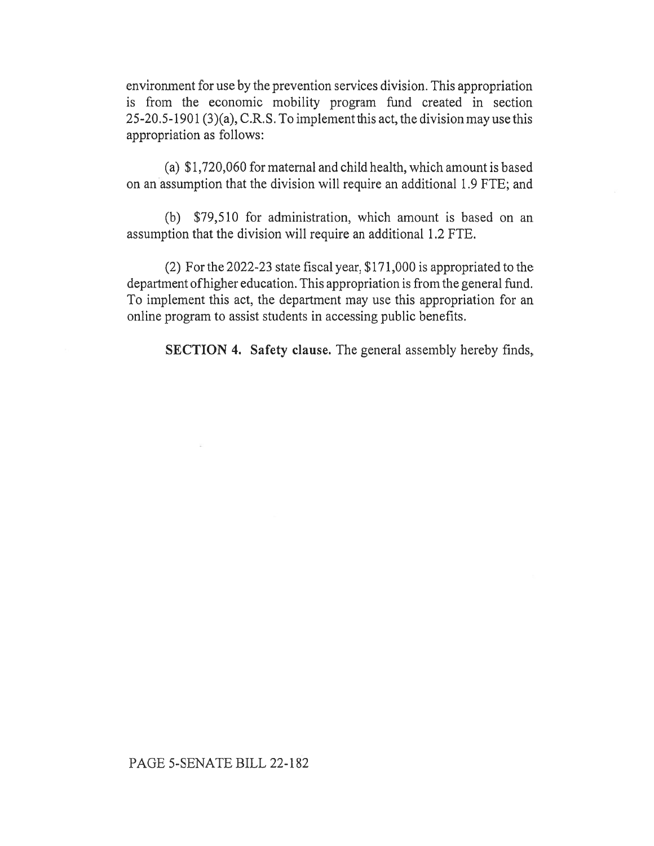environment for use by the prevention services division. This appropriation is from the economic mobility program fund created in section 25-20.5-1901 (3)(a), C.R.S. To implement this act, the division may use this appropriation as follows:

(a) \$1,720,060 for maternal and child health, which amount is based on an assumption that the division will require an additional 1.9 FTE; and

(b) \$79,510 for administration, which amount is based on an assumption that the division will require an additional 1.2 FTE.

(2) For the 2022-23 state fiscal year, \$171,000 is appropriated to the department of higher education. This appropriation is from the general fund. To implement this act, the department may use this appropriation for an online program to assist students in accessing public benefits.

SECTION 4. Safety clause. The general assembly hereby finds,